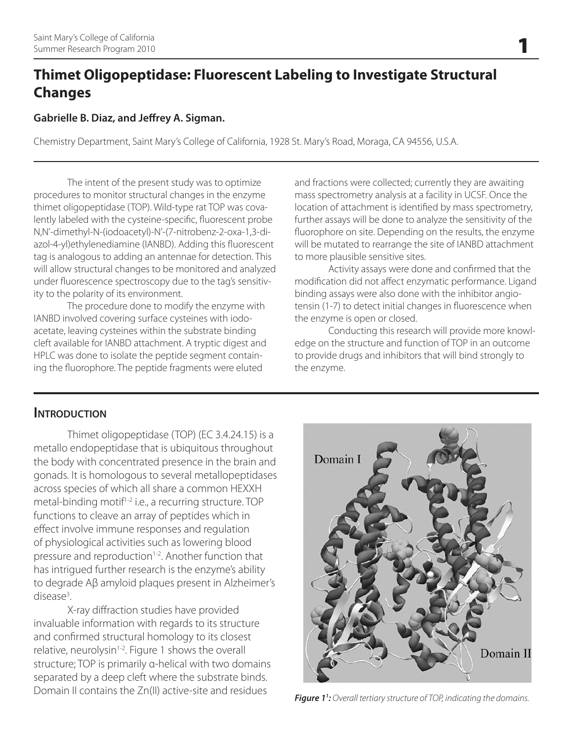# **Thimet Oligopeptidase: Fluorescent Labeling to Investigate Structural Changes**

#### **Gabrielle B. Diaz, and Jeffrey A. Sigman.**

Chemistry Department, Saint Mary's College of California, 1928 St. Mary's Road, Moraga, CA 94556, U.S.A.

The intent of the present study was to optimize procedures to monitor structural changes in the enzyme thimet oligopeptidase (TOP). Wild-type rat TOP was covalently labeled with the cysteine-specific, fluorescent probe N,N'-dimethyl-N-(iodoacetyl)-N'-(7-nitrobenz-2-oxa-1,3-diazol-4-yl)ethylenediamine (IANBD). Adding this fluorescent tag is analogous to adding an antennae for detection. This will allow structural changes to be monitored and analyzed under fluorescence spectroscopy due to the tag's sensitivity to the polarity of its environment.

The procedure done to modify the enzyme with IANBD involved covering surface cysteines with iodoacetate, leaving cysteines within the substrate binding cleft available for IANBD attachment. A tryptic digest and HPLC was done to isolate the peptide segment containing the fluorophore. The peptide fragments were eluted

and fractions were collected; currently they are awaiting mass spectrometry analysis at a facility in UCSF. Once the location of attachment is identified by mass spectrometry, further assays will be done to analyze the sensitivity of the fluorophore on site. Depending on the results, the enzyme will be mutated to rearrange the site of IANBD attachment to more plausible sensitive sites.

Activity assays were done and confirmed that the modification did not affect enzymatic performance. Ligand binding assays were also done with the inhibitor angiotensin (1-7) to detect initial changes in fluorescence when the enzyme is open or closed.

Conducting this research will provide more knowledge on the structure and function of TOP in an outcome to provide drugs and inhibitors that will bind strongly to the enzyme.

### **INTRODUCTION**

Thimet oligopeptidase (TOP) (EC 3.4.24.15) is a metallo endopeptidase that is ubiquitous throughout the body with concentrated presence in the brain and gonads. It is homologous to several metallopeptidases across species of which all share a common HEXXH metal-binding motif<sup>1-2</sup> i.e., a recurring structure. TOP functions to cleave an array of peptides which in effect involve immune responses and regulation of physiological activities such as lowering blood pressure and reproduction<sup>1-2</sup>. Another function that has intrigued further research is the enzyme's ability to degrade Aβ amyloid plaques present in Alzheimer's disease3 .

X-ray diffraction studies have provided invaluable information with regards to its structure and confirmed structural homology to its closest relative, neurolysin<sup>1-2</sup>. Figure 1 shows the overall structure; TOP is primarily α-helical with two domains separated by a deep cleft where the substrate binds. Domain II contains the Zn(II) active-site and residues



**Figure 1':** Overall tertiary structure of TOP, indicating the domains.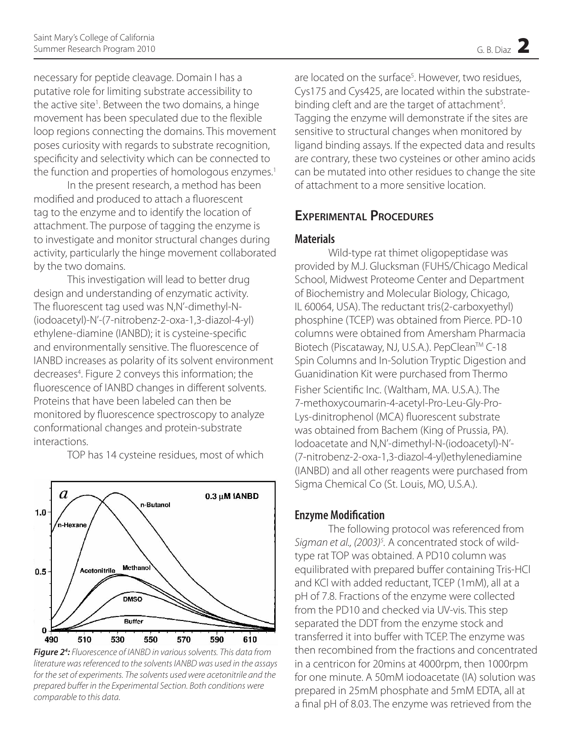necessary for peptide cleavage. Domain I has a putative role for limiting substrate accessibility to the active site<sup>1</sup>. Between the two domains, a hinge movement has been speculated due to the flexible loop regions connecting the domains. This movement poses curiosity with regards to substrate recognition, specificity and selectivity which can be connected to the function and properties of homologous enzymes.<sup>1</sup>

In the present research, a method has been modified and produced to attach a fluorescent tag to the enzyme and to identify the location of attachment. The purpose of tagging the enzyme is to investigate and monitor structural changes during activity, particularly the hinge movement collaborated by the two domains.

This investigation will lead to better drug design and understanding of enzymatic activity. The fluorescent tag used was N,N'-dimethyl-N- (iodoacetyl)-N'-(7-nitrobenz-2-oxa-1,3-diazol-4-yl) ethylene-diamine (IANBD); it is cysteine-specific and environmentally sensitive. The fluorescence of IANBD increases as polarity of its solvent environment decreases<sup>4</sup>. Figure 2 conveys this information; the fluorescence of IANBD changes in different solvents. Proteins that have been labeled can then be monitored by fluorescence spectroscopy to analyze conformational changes and protein-substrate interactions.

 $\boldsymbol{a}$  $0.3 \mu$ M IANBD n-Butanol  $1.0<sub>1</sub>$ n-Hexane Methanol Acetonitrile  $0.5$ **DMSO Buffer** Ō 510 530 590 610 490 550 570

TOP has 14 cysteine residues, most of which

*Figure 24 : Fluorescence of IANBD in various solvents. This data from literature was referenced to the solvents IANBD was used in the assays for the set of experiments. The solvents used were acetonitrile and the prepared buffer in the Experimental Section. Both conditions were comparable to this data.*

are located on the surface<sup>5</sup>. However, two residues, Cys175 and Cys425, are located within the substratebinding cleft and are the target of attachment<sup>5</sup>. Tagging the enzyme will demonstrate if the sites are sensitive to structural changes when monitored by ligand binding assays. If the expected data and results are contrary, these two cysteines or other amino acids can be mutated into other residues to change the site of attachment to a more sensitive location.

# **Experimental Procedures**

#### **Materials**

Wild-type rat thimet oligopeptidase was provided by M.J. Glucksman (FUHS/Chicago Medical School, Midwest Proteome Center and Department of Biochemistry and Molecular Biology, Chicago, IL 60064, USA). The reductant tris(2-carboxyethyl) phosphine (TCEP) was obtained from Pierce. PD-10 columns were obtained from Amersham Pharmacia Biotech (Piscataway, NJ, U.S.A.). PepClean™ C-18 Spin Columns and In-Solution Tryptic Digestion and Guanidination Kit were purchased from Thermo Fisher Scientific Inc. (Waltham, MA. U.S.A.). The 7-methoxycoumarin-4-acetyl-Pro-Leu-Gly-Pro-Lys-dinitrophenol (MCA) fluorescent substrate was obtained from Bachem (King of Prussia, PA). Iodoacetate and N,N'-dimethyl-N-(iodoacetyl)-N'- IOP has 14 cysteine residues, most of which (7-nitrobenz-2-oxa-1,3-diazol-4-yl)ethylenediamine (IANBD) and all other reagents were purchased from Sigma Chemical Co (St. Louis, MO, U.S.A.).

#### **Enzyme Modification**

The following protocol was referenced from Sigman et al., (2003)<sup>5</sup>. A concentrated stock of wildtype rat TOP was obtained. A PD10 column was equilibrated with prepared buffer containing Tris-HCl and KCl with added reductant, TCEP (1mM), all at a pH of 7.8. Fractions of the enzyme were collected from the PD10 and checked via UV-vis. This step separated the DDT from the enzyme stock and transferred it into buffer with TCEP. The enzyme was then recombined from the fractions and concentrated in a centricon for 20mins at 4000rpm, then 1000rpm for one minute. A 50mM iodoacetate (IA) solution was prepared in 25mM phosphate and 5mM EDTA, all at a final pH of 8.03. The enzyme was retrieved from the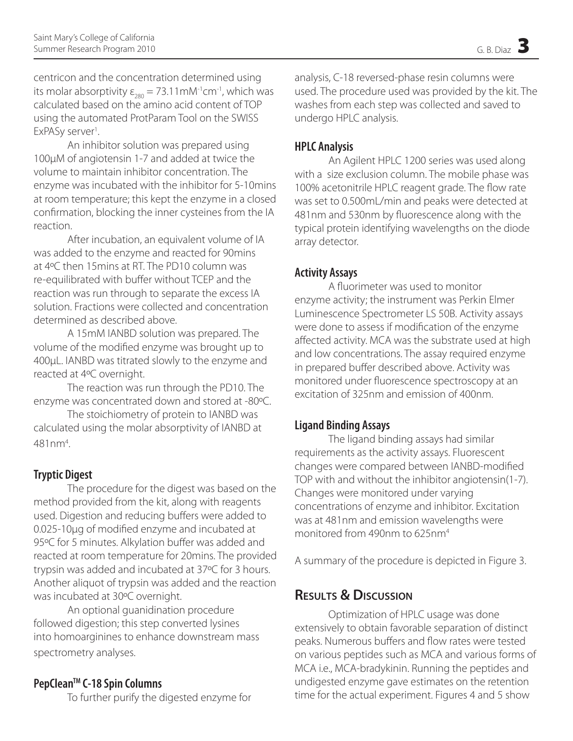centricon and the concentration determined using its molar absorptivity  $\varepsilon_{280} = 73.11 \text{m} \text{M}$ <sup>-1</sup>cm<sup>-1</sup>, which was calculated based on the amino acid content of TOP using the automated ProtParam Tool on the SWISS ExPASy server<sup>1</sup>. .

An inhibitor solution was prepared using 100µM of angiotensin 1-7 and added at twice the volume to maintain inhibitor concentration. The enzyme was incubated with the inhibitor for 5-10mins at room temperature; this kept the enzyme in a closed confirmation, blocking the inner cysteines from the IA reaction.

After incubation, an equivalent volume of IA was added to the enzyme and reacted for 90mins at 4ºC then 15mins at RT. The PD10 column was re-equilibrated with buffer without TCEP and the reaction was run through to separate the excess IA solution. Fractions were collected and concentration determined as described above.

A 15mM IANBD solution was prepared. The volume of the modified enzyme was brought up to 400µL. IANBD was titrated slowly to the enzyme and reacted at 4ºC overnight.

The reaction was run through the PD10. The enzyme was concentrated down and stored at -80ºC.

The stoichiometry of protein to IANBD was calculated using the molar absorptivity of IANBD at 481nm4 .

# **Tryptic Digest**

The procedure for the digest was based on the method provided from the kit, along with reagents used. Digestion and reducing buffers were added to 0.025-10µg of modified enzyme and incubated at 95°C for 5 minutes. Alkylation buffer was added and reacted at room temperature for 20mins. The provided trypsin was added and incubated at 37ºC for 3 hours. Another aliquot of trypsin was added and the reaction was incubated at 30ºC overnight.

An optional guanidination procedure followed digestion; this step converted lysines into homoarginines to enhance downstream mass spectrometry analyses.

### **PepCleanTM C-18 Spin Columns**

To further purify the digested enzyme for

analysis, C-18 reversed-phase resin columns were used. The procedure used was provided by the kit. The washes from each step was collected and saved to undergo HPLC analysis.

## **HPLC Analysis**

An Agilent HPLC 1200 series was used along with a size exclusion column. The mobile phase was 100% acetonitrile HPLC reagent grade. The flow rate was set to 0.500mL/min and peaks were detected at 481nm and 530nm by fluorescence along with the typical protein identifying wavelengths on the diode array detector.

### **Activity Assays**

A fluorimeter was used to monitor enzyme activity; the instrument was Perkin Elmer Luminescence Spectrometer LS 50B. Activity assays were done to assess if modification of the enzyme affected activity. MCA was the substrate used at high and low concentrations. The assay required enzyme in prepared buffer described above. Activity was monitored under fluorescence spectroscopy at an excitation of 325nm and emission of 400nm.

### **Ligand Binding Assays**

The ligand binding assays had similar requirements as the activity assays. Fluorescent changes were compared between IANBD-modified TOP with and without the inhibitor angiotensin(1-7). Changes were monitored under varying concentrations of enzyme and inhibitor. Excitation was at 481nm and emission wavelengths were monitored from 490nm to 625nm4

A summary of the procedure is depicted in Figure 3.

# **Results & Discussion**

Optimization of HPLC usage was done extensively to obtain favorable separation of distinct peaks. Numerous buffers and flow rates were tested on various peptides such as MCA and various forms of MCA i.e., MCA-bradykinin. Running the peptides and undigested enzyme gave estimates on the retention time for the actual experiment. Figures 4 and 5 show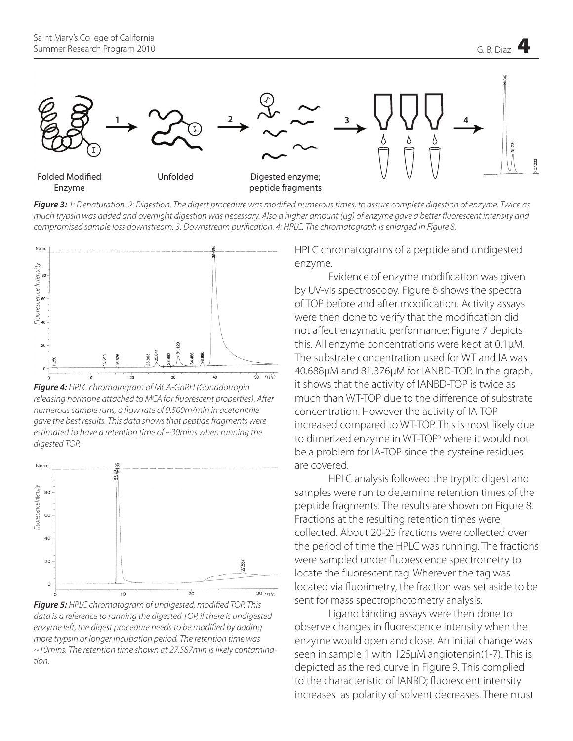

*Figure 3: 1: Denaturation. 2: Digestion. The digest procedure was modified numerous times, to assure complete digestion of enzyme. Twice as much trypsin was added and overnight digestion was necessary. Also a higher amount (µg) of enzyme gave a better fluorescent intensity and compromised sample loss downstream. 3: Downstream purification. 4: HPLC. The chromatograph is enlarged in Figure 8.*



*Figure 4: HPLC chromatogram of MCA-GnRH (Gonadotropin releasing hormone attached to MCA for fluorescent properties). After numerous sample runs, a flow rate of 0.500m/min in acetonitrile gave the best results. This data shows that peptide fragments were estimated to have a retention time of ~30mins when running the* 



*Figure 5: HPLC chromatogram of undigested, modified TOP. This data is a reference to running the digested TOP, if there is undigested enzyme left, the digest procedure needs to be modified by adding more trypsin or longer incubation period. The retention time was ~10mins. The retention time shown at 27.587min is likely contamination.*

HPLC chromatograms of a peptide and undigested enzyme.

Evidence of enzyme modification was given by UV-vis spectroscopy. Figure 6 shows the spectra of TOP before and after modification. Activity assays were then done to verify that the modification did not affect enzymatic performance; Figure 7 depicts this. All enzyme concentrations were kept at 0.1µM. The substrate concentration used for WT and IA was 40.688µM and 81.376µM for IANBD-TOP. In the graph, it shows that the activity of IANBD-TOP is twice as much than WT-TOP due to the difference of substrate concentration. However the activity of IA-TOP increased compared to WT-TOP. This is most likely due to dimerized enzyme in WT-TOP<sup>5</sup> where it would not be a problem for IA-TOP since the cysteine residues are covered.

HPLC analysis followed the tryptic digest and samples were run to determine retention times of the peptide fragments. The results are shown on Figure 8. Fractions at the resulting retention times were collected. About 20-25 fractions were collected over the period of time the HPLC was running. The fractions were sampled under fluorescence spectrometry to locate the fluorescent tag. Wherever the tag was located via fluorimetry, the fraction was set aside to be sent for mass spectrophotometry analysis.

Ligand binding assays were then done to observe changes in fluorescence intensity when the enzyme would open and close. An initial change was seen in sample 1 with 125µM angiotensin(1-7). This is depicted as the red curve in Figure 9. This complied to the characteristic of IANBD; fluorescent intensity increases as polarity of solvent decreases. There must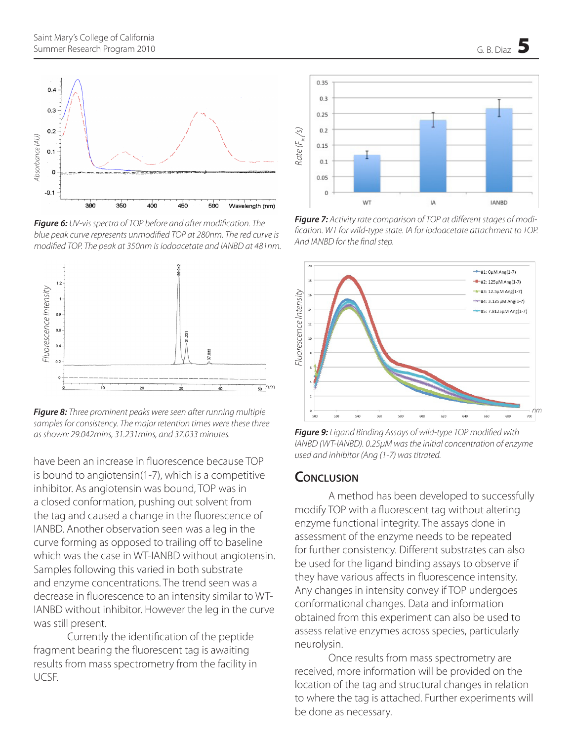

*Figure 6: UV-vis spectra of TOP before and after modification. The blue peak curve represents unmodified TOP at 280nm. The red curve is* 



*Figure 8: Three prominent peaks were seen after running multiple samples for consistency. The major retention times were these three* 

have been an increase in fluorescence because TOP is bound to angiotensin(1-7), which is a competitive inhibitor. As angiotensin was bound, TOP was in a closed conformation, pushing out solvent from the tag and caused a change in the fluorescence of IANBD. Another observation seen was a leg in the curve forming as opposed to trailing off to baseline which was the case in WT-IANBD without angiotensin. Samples following this varied in both substrate and enzyme concentrations. The trend seen was a decrease in fluorescence to an intensity similar to WT-IANBD without inhibitor. However the leg in the curve was still present.

Currently the identification of the peptide fragment bearing the fluorescent tag is awaiting results from mass spectrometry from the facility in UCSF.



*Figure 7: Activity rate comparison of TOP at different stages of modification. WT for wild-type state. IA for iodoacetate attachment to TOP.* 



*Figure 9: Ligand Binding Assays of wild-type TOP modified with IANBD (WT-IANBD). 0.25µM was the initial concentration of enzyme used and inhibitor (Ang (1-7) was titrated.*

#### **Conclusion**

A method has been developed to successfully modify TOP with a fluorescent tag without altering enzyme functional integrity. The assays done in assessment of the enzyme needs to be repeated for further consistency. Different substrates can also be used for the ligand binding assays to observe if they have various affects in fluorescence intensity. Any changes in intensity convey if TOP undergoes conformational changes. Data and information obtained from this experiment can also be used to assess relative enzymes across species, particularly neurolysin.

Once results from mass spectrometry are received, more information will be provided on the location of the tag and structural changes in relation to where the tag is attached. Further experiments will be done as necessary.